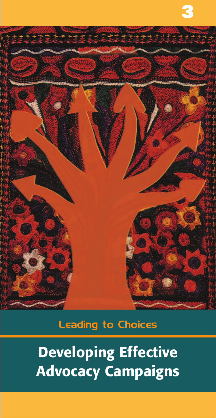

# Leading to Choices

**Developing Effective Advocacy Campaigns**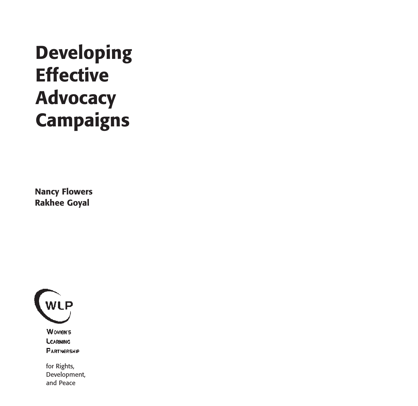# **Developing Effective Advocacy Campaigns**

**Nancy Flowers Rakhee Goyal**



**WOMEN'S LEARNING PARTNERSHIP** 

for Rights, Development, and Peace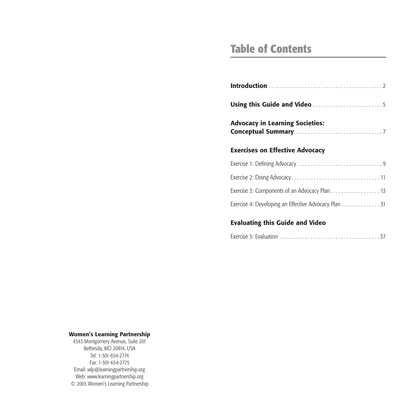# **Table of Contents**

| <b>Advocacy in Learning Societies:</b>               |  |  |  |  |  |  |  |  |  |  |  |
|------------------------------------------------------|--|--|--|--|--|--|--|--|--|--|--|
| <b>Exercises on Effective Advocacy</b>               |  |  |  |  |  |  |  |  |  |  |  |
|                                                      |  |  |  |  |  |  |  |  |  |  |  |
|                                                      |  |  |  |  |  |  |  |  |  |  |  |
| Exercise 3: Components of an Advocacy Plan 13        |  |  |  |  |  |  |  |  |  |  |  |
| Exercise 4: Developing an Effective Advocacy Plan 31 |  |  |  |  |  |  |  |  |  |  |  |

#### **Evaluating this Guide and Video**

#### **Women's Learning Partnership**

4343 Montgomery Avenue, Suite 201 Bethesda, MD 20814, USA Tel: 1-301-654-2774 Fax: 1-301-654-2775 Email: wlp@learningpartnership.org Web: www.learningpartnership.org © 2003 Women's Learning Partnership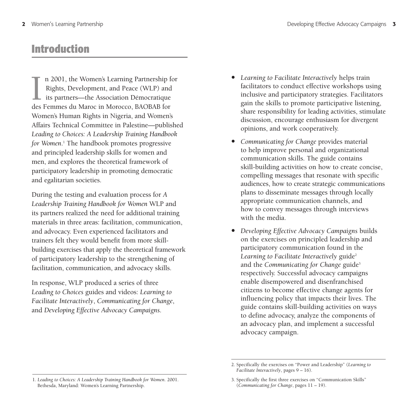# **Introduction**

In 2001, the Women's Learning Partnership H<br>Rights, Development, and Peace (WLP) and<br>its partners—the Association Démocratique<br>des Femmes du Maroc in Morocco, BAOBAB for n 2001, the Women's Learning Partnership for Rights, Development, and Peace (WLP) and its partners—the Association Démocratique Women's Human Rights in Nigeria, and Women's Affairs Technical Committee in Palestine—published *Leading to Choices: A Leadership Training Handbook for Women*. <sup>1</sup> The handbook promotes progressive and principled leadership skills for women and men, and explores the theoretical framework of participatory leadership in promoting democratic and egalitarian societies.

During the testing and evaluation process for *A Leadership Training Handbook for Women* WLP and its partners realized the need for additional training materials in three areas: facilitation, communication, and advocacy. Even experienced facilitators and trainers felt they would benefit from more skillbuilding exercises that apply the theoretical framework of participatory leadership to the strengthening of facilitation, communication, and advocacy skills.

In response, WLP produced a series of three *Leading to Choices* guides and videos: *Learning to Facilitate Interactively*, *Communicating for Change*, and *Developing Effective Advocacy Campaigns*.

- *• Learning to Facilitate Interactively* helps train facilitators to conduct effective workshops using inclusive and participatory strategies. Facilitators gain the skills to promote participative listening, share responsibility for leading activities, stimulate discussion, encourage enthusiasm for divergent opinions, and work cooperatively.
- *• Communicating for Change* provides material to help improve personal and organizational communication skills. The guide contains skill-building activities on how to create concise, compelling messages that resonate with specific audiences, how to create strategic communications plans to disseminate messages through locally appropriate communication channels, and how to convey messages through interviews with the media.
- *• Developing Effective Advocacy Campaigns* builds on the exercises on principled leadership and participatory communication found in the Learning to Facilitate Interactively guide<sup>2</sup> and the *Communicating* for *Change* guide<sup>3</sup> respectively. Successful advocacy campaigns enable disempowered and disenfranchised citizens to become effective change agents for influencing policy that impacts their lives. The guide contains skill-building activities on ways to define advocacy, analyze the components of an advocacy plan, and implement a successful advocacy campaign.

<sup>2.</sup> Specifically the exercises on "Power and Leadership" (*Learning to Facilitate Interactively*, pages 9 – 16).

<sup>1.</sup> *Leading to Choices: A Leadership Training Handbook for Women*. 2001. Bethesda, Maryland: Women's Learning Partnership.

<sup>3.</sup> Specifically the first three exercises on "Communication Skills" (*Communicating for Change*, pages 11 – 19).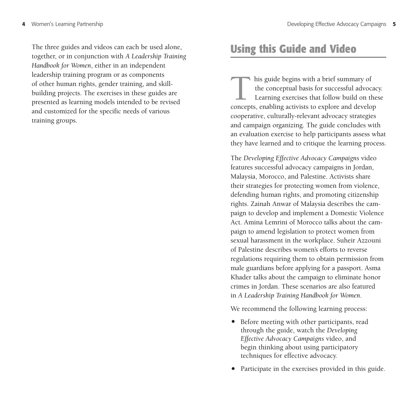The three guides and videos can each be used alone, together, or in conjunction with *A Leadership Training Handbook for Women*, either in an independent leadership training program or as components of other human rights, gender training, and skillbuilding projects. The exercises in these guides are presented as learning models intended to be revised and customized for the specific needs of various training groups.

# **Using this Guide and Video**

his guide begins with a brief summary of the conceptual basis for successful advocated Learning exercises that follow build on the concepts, enabling activists to explore and develop the conceptual basis for successful advocacy. Learning exercises that follow build on these cooperative, culturally-relevant advocacy strategies and campaign organizing. The guide concludes with an evaluation exercise to help participants assess what they have learned and to critique the learning process.

The *Developing Effective Advocacy Campaigns* video features successful advocacy campaigns in Jordan, Malaysia, Morocco, and Palestine. Activists share their strategies for protecting women from violence, defending human rights, and promoting citizenship rights. Zainah Anwar of Malaysia describes the campaign to develop and implement a Domestic Violence Act. Amina Lemrini of Morocco talks about the campaign to amend legislation to protect women from sexual harassment in the workplace. Suheir Azzouni of Palestine describes women's efforts to reverse regulations requiring them to obtain permission from male guardians before applying for a passport. Asma Khader talks about the campaign to eliminate honor crimes in Jordan. These scenarios are also featured in *A Leadership Training Handbook for Women*.

We recommend the following learning process:

- *•* Before meeting with other participants, read through the guide, watch the *Developing Effective Advocacy Campaigns* video, and begin thinking about using participatory techniques for effective advocacy.
- *•* Participate in the exercises provided in this guide.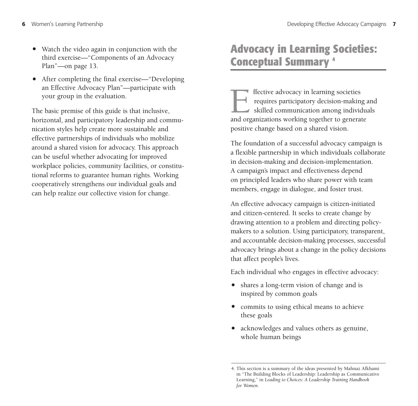- Watch the video again in conjunction with the third exercise—"Components of an Advocacy Plan"—on page 13.
- After completing the final exercise—"Developing an Effective Advocacy Plan"—participate with your group in the evaluation.

The basic premise of this guide is that inclusive, horizontal, and participatory leadership and communication styles help create more sustainable and effective partnerships of individuals who mobilize around a shared vision for advocacy. This approach can be useful whether advocating for improved workplace policies, community facilities, or constitutional reforms to guarantee human rights. Working cooperatively strengthens our individual goals and can help realize our collective vision for change.

# **Advocacy in Learning Societies: Conceptual Summary 4**

Filective advocacy in learning societies<br>requires participatory decision-making<br>skilled communication among individend<br>organizations working together to general requires participatory decision-making and skilled communication among individuals and organizations working together to generate positive change based on a shared vision.

The foundation of a successful advocacy campaign is a flexible partnership in which individuals collaborate in decision-making and decision-implementation. A campaign's impact and effectiveness depend on principled leaders who share power with team members, engage in dialogue, and foster trust.

An effective advocacy campaign is citizen-initiated and citizen-centered. It seeks to create change by drawing attention to a problem and directing policymakers to a solution. Using participatory, transparent, and accountable decision-making processes, successful advocacy brings about a change in the policy decisions that affect people's lives.

Each individual who engages in effective advocacy:

- *•* shares a long-term vision of change and is inspired by common goals
- *•* commits to using ethical means to achieve these goals
- *•* acknowledges and values others as genuine, whole human beings

<sup>4.</sup> This section is a summary of the ideas presented by Mahnaz Afkhami in "The Building Blocks of Leadership: Leadership as Communicative Learning," in *Leading to Choices: A Leadership Training Handbook for Women*.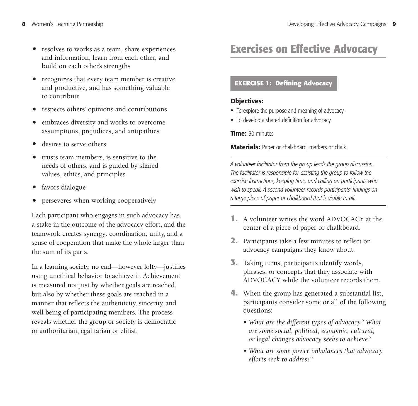- resolves to works as a team, share experiences and information, learn from each other, and build on each other's strengths
- *•* recognizes that every team member is creative and productive, and has something valuable to contribute
- *•* respects others' opinions and contributions
- *•* embraces diversity and works to overcome assumptions, prejudices, and antipathies
- *•* desires to serve others
- *•* trusts team members, is sensitive to the needs of others, and is guided by shared values, ethics, and principles
- *•* favors dialogue
- *•* perseveres when working cooperatively

Each participant who engages in such advocacy has a stake in the outcome of the advocacy effort, and the teamwork creates synergy: coordination, unity, and a sense of cooperation that make the whole larger than the sum of its parts.

In a learning society, no end—however lofty—justifies using unethical behavior to achieve it. Achievement is measured not just by whether goals are reached, but also by whether these goals are reached in a manner that reflects the authenticity, sincerity, and well being of participating members. The process reveals whether the group or society is democratic or authoritarian, egalitarian or elitist.

# **Exercises on Effective Advocacy**

#### **EXERCISE 1: Defining Advocacy**

#### **Objectives:**

- To explore the purpose and meaning of advocacy
- To develop a shared definition for advocacy

**Time:** 30 minutes

**Materials:** Paper or chalkboard, markers or chalk

- **1.** A volunteer writes the word ADVOCACY at the center of a piece of paper or chalkboard.
- **2.** Participants take a few minutes to reflect on advocacy campaigns they know about.
- **3.** Taking turns, participants identify words, phrases, or concepts that they associate with ADVOCACY while the volunteer records them.
- **4.** When the group has generated a substantial list, participants consider some or all of the following questions:
	- *What are the different types of advocacy? What are some social, political, economic, cultural, or legal changes advocacy seeks to achieve?*
	- *What are some power imbalances that advocacy efforts seek to address?*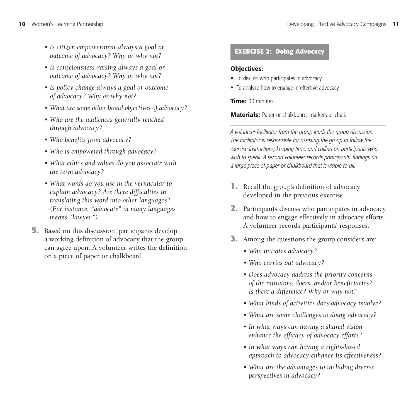- *Is citizen empowerment always a goal or outcome of advocacy? Why or why not?*
- *Is consciousness-raising always a goal or outcome of advocacy? Why or why not?*
- *Is policy change always a goal or outcome of advocacy? Why or why not?*
- *What are some other broad objectives of advocacy?*
- *Who are the audiences generally reached through advocacy?*
- *Who benefits from advocacy?*
- *Who is empowered through advocacy?*
- *What ethics and values do you associate with the term advocacy?*
- *What words do you use in the vernacular to explain advocacy? Are there difficulties in translating this word into other languages? (For instance, "advocate" in many languages means "lawyer.")*
- **5.** Based on this discussion, participants develop a working definition of advocacy that the group can agree upon. A volunteer writes the definition on a piece of paper or chalkboard.

# **EXERCISE 2: Doing Advocacy**

### **Objectives:**

- To discuss who participates in advocacy
- To analyze how to engage in effective advocacy

### **Time:** 30 minutes

**Materials:** Paper or chalkboard, markers or chalk

- **1.** Recall the group's definition of advocacy developed in the previous exercise.
- **2.** Participants discuss who participates in advocacy and how to engage effectively in advocacy efforts. A volunteer records participants' responses.
- **3.** Among the questions the group considers are:
	- *Who initiates advocacy?*
	- *Who carries out advocacy?*
	- *Does advocacy address the priority concerns of the initiators, doers, and/or beneficiaries? Is there a difference? Why or why not?*
	- *What kinds of activities does advocacy involve?*
	- *What are some challenges to doing advocacy?*
	- *In what ways can having a shared vision enhance the efficacy of advocacy efforts?*
	- *In what ways can having a rights-based approach to advocacy enhance its effectiveness?*
	- *What are the advantages to including diverse perspectives in advocacy?*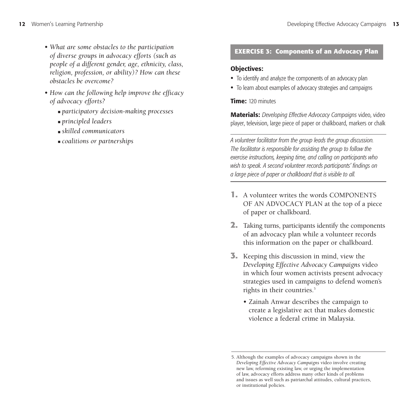- *What are some obstacles to the participation of diverse groups in advocacy efforts (such as people of a different gender, age, ethnicity, class, religion, profession, or ability)? How can these obstacles be overcome?*
- *How can the following help improve the efficacy of advocacy efforts?*
	- *participatory decision-making processes*
	- *principled leaders*
	- *skilled communicators*
	- *coalitions or partnerships*

#### **EXERCISE 3: Components of an Advocacy Plan**

#### **Objectives:**

- To identify and analyze the components of an advocacy plan
- To learn about examples of advocacy strategies and campaigns

**Time:** 120 minutes

**Materials:** *Developing Effective Advocacy Campaigns* video, video player, television, large piece of paper or chalkboard, markers or chalk

- **1.** A volunteer writes the words COMPONENTS OF AN ADVOCACY PLAN at the top of a piece of paper or chalkboard.
- **2.** Taking turns, participants identify the components of an advocacy plan while a volunteer records this information on the paper or chalkboard.
- **3.** Keeping this discussion in mind, view the *Developing Effective Advocacy Campaigns* video in which four women activists present advocacy strategies used in campaigns to defend women's rights in their countries.<sup>5</sup>
	- Zainah Anwar describes the campaign to create a legislative act that makes domestic violence a federal crime in Malaysia.

<sup>5.</sup> Although the examples of advocacy campaigns shown in the *Developing Effective Advocacy Campaigns* video involve creating new law, reforming existing law, or urging the implementation of law, advocacy efforts address many other kinds of problems and issues as well such as patriarchal attitudes, cultural practices, or institutional policies.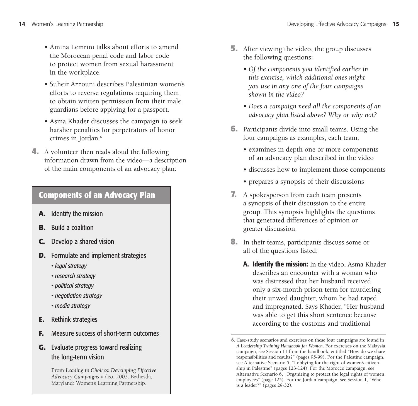- Amina Lemrini talks about efforts to amend the Moroccan penal code and labor code to protect women from sexual harassment in the workplace.
- Suheir Azzouni describes Palestinian women's efforts to reverse regulations requiring them to obtain written permission from their male guardians before applying for a passport.
- Asma Khader discusses the campaign to seek harsher penalties for perpetrators of honor crimes in Jordan.<sup>6</sup>
- **4.** A volunteer then reads aloud the following information drawn from the video—a description of the main components of an advocacy plan:

# **Components of an Advocacy Plan**

- **A.** Identify the mission
- **B.** Build a coalition
- **C.** Develop a shared vision
- **D.** Formulate and implement strategies
	- *legal strategy*
	- *research strategy*
	- *political strategy*
	- *negotiation strategy*
	- *media strategy*
- **E.** Rethink strategies
- **F.** Measure success of short-term outcomes
- **G.** Evaluate progress toward realizing the long-term vision

From *Leading to Choices: Developing Effective Advocacy Campaigns* video. 2003. Bethesda, Maryland: Women's Learning Partnership.

- **5.** After viewing the video, the group discusses the following questions:
	- *Of the components you identified earlier in this exercise, which additional ones might you use in any one of the four campaigns shown in the video?*
	- *Does a campaign need all the components of an advocacy plan listed above? Why or why not?*
- **6.** Participants divide into small teams. Using the four campaigns as examples, each team:
	- examines in depth one or more components of an advocacy plan described in the video
	- discusses how to implement those components
	- prepares a synopsis of their discussions
- **7.** A spokesperson from each team presents a synopsis of their discussion to the entire group. This synopsis highlights the questions that generated differences of opinion or greater discussion.
- **8.** In their teams, participants discuss some or all of the questions listed:
	- **A. Identify the mission:** In the video, Asma Khader describes an encounter with a woman who was distressed that her husband received only a six-month prison term for murdering their unwed daughter, whom he had raped and impregnated. Says Khader, "Her husband was able to get this short sentence because according to the customs and traditional

<sup>6.</sup> Case-study scenarios and exercises on these four campaigns are found in *A Leadership Training Handbook for Women*. For exercises on the Malaysia campaign, see Session 11 from the handbook, entitled "How do we share responsibilities and results?" (pages 95-99). For the Palestine campaign, see Alternative Scenario 5, "Lobbying for the right of women's citizenship in Palestine" (pages 123-124). For the Morocco campaign, see Alternative Scenario 6, "Organizing to protect the legal rights of women employees" (page 125). For the Jordan campaign, see Session 1, "Who is a leader?" (pages 29-32).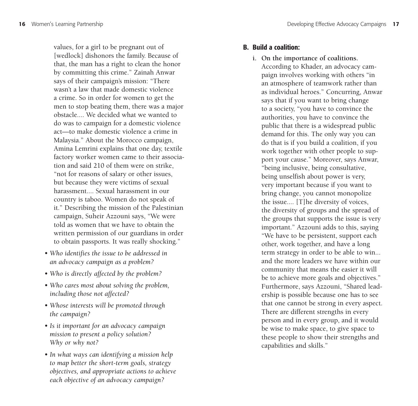values, for a girl to be pregnant out of [wedlock] dishonors the family. Because of that, the man has a right to clean the honor by committing this crime." Zainah Anwar says of their campaign's mission: "There wasn't a law that made domestic violence a crime. So in order for women to get the men to stop beating them, there was a major obstacle.... We decided what we wanted to do was to campaign for a domestic violence act—to make domestic violence a crime in Malaysia." About the Morocco campaign, Amina Lemrini explains that one day, textile factory worker women came to their association and said 210 of them were on strike, "not for reasons of salary or other issues, but because they were victims of sexual harassment.... Sexual harassment in our country is taboo. Women do not speak of it." Describing the mission of the Palestinian campaign, Suheir Azzouni says, "We were told as women that we have to obtain the written permission of our guardians in order to obtain passports. It was really shocking."

- *Who identifies the issue to be addressed in an advocacy campaign as a problem?*
- *Who is directly affected by the problem?*
- *Who cares most about solving the problem, including those not affected?*
- *Whose interests will be promoted through the campaign?*
- *Is it important for an advocacy campaign mission to present a policy solution? Why or why not?*
- *In what ways can identifying a mission help to map better the short-term goals, strategy objectives, and appropriate actions to achieve each objective of an advocacy campaign?*

### **B. Build a coalition:**

**i. On the importance of coalitions.** According to Khader, an advocacy campaign involves working with others "in an atmosphere of teamwork rather than as individual heroes." Concurring, Anwar says that if you want to bring change to a society, "you have to convince the authorities, you have to convince the public that there is a widespread public demand for this. The only way you can do that is if you build a coalition, if you work together with other people to support your cause." Moreover, says Anwar, "being inclusive, being consultative, being unselfish about power is very, very important because if you want to bring change, you cannot monopolize the issue.... [T]he diversity of voices, the diversity of groups and the spread of the groups that supports the issue is very important." Azzouni adds to this, saying "We have to be persistent, support each other, work together, and have a long term strategy in order to be able to win... and the more leaders we have within our community that means the easier it will be to achieve more goals and objectives." Furthermore, says Azzouni, "Shared leadership is possible because one has to see that one cannot be strong in every aspect. There are different strengths in every person and in every group, and it would be wise to make space, to give space to these people to show their strengths and capabilities and skills."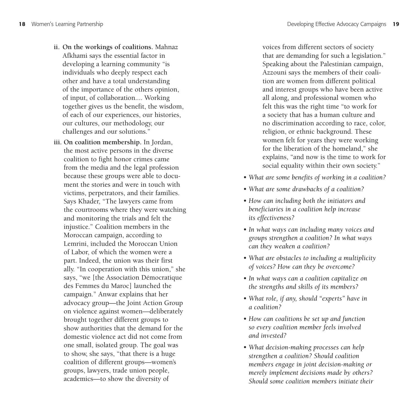- **ii. On the workings of coalitions.** Mahnaz Afkhami says the essential factor in developing a learning community "is individuals who deeply respect each other and have a total understanding of the importance of the others opinion, of input, of collaboration.... Working together gives us the benefit, the wisdom, of each of our experiences, our histories, our cultures, our methodology, our challenges and our solutions."
- **iii. On coalition membership.** In Jordan, the most active persons in the diverse coalition to fight honor crimes came from the media and the legal profession because these groups were able to document the stories and were in touch with victims, perpetrators, and their families. Says Khader, "The lawyers came from the courtrooms where they were watching and monitoring the trials and felt the injustice." Coalition members in the Moroccan campaign, according to Lemrini, included the Moroccan Union of Labor, of which the women were a part. Indeed, the union was their first ally. "In cooperation with this union," she says, "we [the Association Démocratique des Femmes du Maroc] launched the campaign." Anwar explains that her advocacy group—the Joint Action Group on violence against women—deliberately brought together different groups to show authorities that the demand for the domestic violence act did not come from one small, isolated group. The goal was to show, she says, "that there is a huge coalition of different groups—women's groups, lawyers, trade union people, academics—to show the diversity of

voices from different sectors of society that are demanding for such a legislation." Speaking about the Palestinian campaign, Azzouni says the members of their coalition are women from different political and interest groups who have been active all along, and professional women who felt this was the right time "to work for a society that has a human culture and no discrimination according to race, color, religion, or ethnic background. These women felt for years they were working for the liberation of the homeland," she explains, "and now is the time to work for social equality within their own society."

- *What are some benefits of working in a coalition?*
- *What are some drawbacks of a coalition?*
- *How can including both the initiators and beneficiaries in a coalition help increase its effectiveness?*
- *In what ways can including many voices and groups strengthen a coalition? In what ways can they weaken a coalition?*
- *What are obstacles to including a multiplicity of voices? How can they be overcome?*
- *In what ways can a coalition capitalize on the strengths and skills of its members?*
- *What role, if any, should "experts" have in a coalition?*
- *How can coalitions be set up and function so every coalition member feels involved and invested?*
- *What decision-making processes can help strengthen a coalition? Should coalition members engage in joint decision-making or merely implement decisions made by others? Should some coalition members initiate their*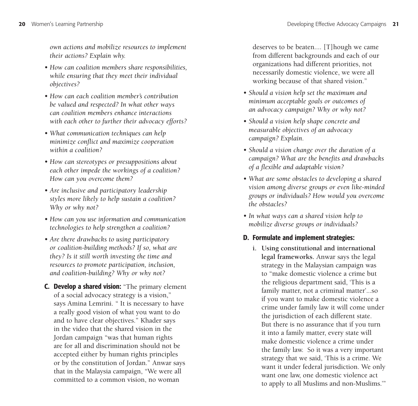*own actions and mobilize resources to implement their actions? Explain why.*

- *How can coalition members share responsibilities, while ensuring that they meet their individual objectives?*
- *How can each coalition member's contribution be valued and respected? In what other ways can coalition members enhance interactions with each other to further their advocacy efforts?*
- *What communication techniques can help minimize conflict and maximize cooperation within a coalition?*
- *How can stereotypes or presuppositions about each other impede the workings of a coalition? How can you overcome them?*
- *Are inclusive and participatory leadership styles more likely to help sustain a coalition? Why or why not?*
- *How can you use information and communication technologies to help strengthen a coalition?*
- *Are there drawbacks to using participatory or coalition-building methods? If so, what are they? Is it still worth investing the time and resources to promote participation, inclusion, and coalition-building? Why or why not?*
- **C. Develop a shared vision:** "The primary element of a social advocacy strategy is a vision," says Amina Lemrini. " It is necessary to have a really good vision of what you want to do and to have clear objectives." Khader says in the video that the shared vision in the Jordan campaign "was that human rights are for all and discrimination should not be accepted either by human rights principles or by the constitution of Jordan." Anwar says that in the Malaysia campaign, "We were all committed to a common vision, no woman

deserves to be beaten.... [T]hough we came from different backgrounds and each of our organizations had different priorities, not necessarily domestic violence, we were all working because of that shared vision."

- *Should a vision help set the maximum and minimum acceptable goals or outcomes of an advocacy campaign? Why or why not?*
- *Should a vision help shape concrete and measurable objectives of an advocacy campaign? Explain.*
- *Should a vision change over the duration of a campaign? What are the benefits and drawbacks of a flexible and adaptable vision?*
- *What are some obstacles to developing a shared vision among diverse groups or even like-minded groups or individuals? How would you overcome the obstacles?*
- *In what ways can a shared vision help to mobilize diverse groups or individuals?*

#### **D. Formulate and implement strategies:**

**i. Using constitutional and international legal frameworks.** Anwar says the legal strategy in the Malaysian campaign was to "make domestic violence a crime but the religious department said, 'This is a family matter, not a criminal matter'...so if you want to make domestic violence a crime under family law it will come under the jurisdiction of each different state. But there is no assurance that if you turn it into a family matter, every state will make domestic violence a crime under the family law. So it was a very important strategy that we said, 'This is a crime. We want it under federal jurisdiction. We only want one law, one domestic violence act to apply to all Muslims and non-Muslims.'"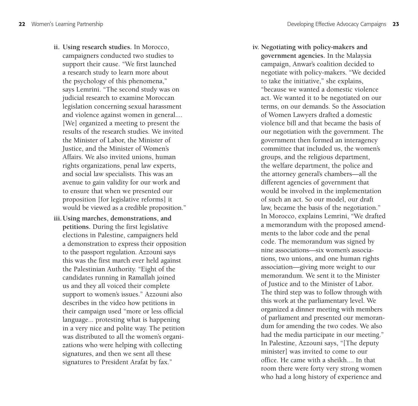- **ii. Using research studies.** In Morocco, campaigners conducted two studies to support their cause. "We first launched a research study to learn more about the psychology of this phenomena," says Lemrini. "The second study was on judicial research to examine Moroccan legislation concerning sexual harassment and violence against women in general.... [We] organized a meeting to present the results of the research studies. We invited the Minister of Labor, the Minister of Justice, and the Minister of Women's Affairs. We also invited unions, human rights organizations, penal law experts, and social law specialists. This was an avenue to gain validity for our work and to ensure that when we presented our proposition [for legislative reforms] it would be viewed as a credible proposition."
- **iii.Using marches, demonstrations, and petitions.** During the first legislative elections in Palestine, campaigners held a demonstration to express their opposition to the passport regulation. Azzouni says this was the first march ever held against the Palestinian Authority. "Eight of the candidates running in Ramallah joined us and they all voiced their complete support to women's issues." Azzouni also describes in the video how petitions in their campaign used "more or less official language... protesting what is happening in a very nice and polite way. The petition was distributed to all the women's organizations who were helping with collecting signatures, and then we sent all these signatures to President Arafat by fax."

**iv. Negotiating with policy-makers and government agencies.** In the Malaysia campaign, Anwar's coalition decided to negotiate with policy-makers. "We decided to take the initiative," she explains, "because we wanted a domestic violence act. We wanted it to be negotiated on our terms, on our demands. So the Association of Women Lawyers drafted a domestic violence bill and that became the basis of our negotiation with the government. The government then formed an interagency committee that included us, the women's groups, and the religious department, the welfare department, the police and the attorney general's chambers—all the different agencies of government that would be involved in the implementation of such an act. So our model, our draft law, became the basis of the negotiation." In Morocco, explains Lemrini, "We drafted a memorandum with the proposed amendments to the labor code and the penal code. The memorandum was signed by nine associations—six women's associations, two unions, and one human rights association—giving more weight to our memorandum. We sent it to the Minister of Justice and to the Minister of Labor. The third step was to follow through with this work at the parliamentary level. We organized a dinner meeting with members of parliament and presented our memorandum for amending the two codes. We also had the media participate in our meeting." In Palestine, Azzouni says, "[The deputy minister] was invited to come to our office. He came with a sheikh.... In that room there were forty very strong women who had a long history of experience and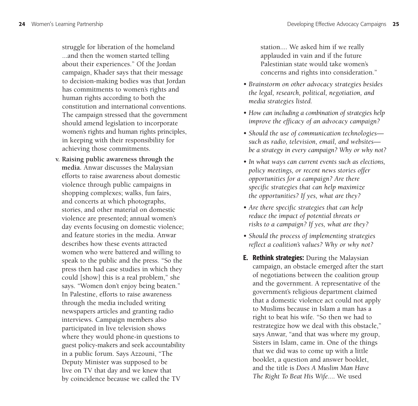struggle for liberation of the homeland ...and then the women started telling about their experiences." Of the Jordan campaign, Khader says that their message to decision-making bodies was that Jordan has commitments to women's rights and human rights according to both the constitution and international conventions. The campaign stressed that the government should amend legislation to incorporate women's rights and human rights principles, in keeping with their responsibility for achieving those commitments.

**v. Raising public awareness through the media.** Anwar discusses the Malaysian efforts to raise awareness about domestic violence through public campaigns in shopping complexes; walks, fun fairs, and concerts at which photographs, stories, and other material on domestic violence are presented; annual women's day events focusing on domestic violence; and feature stories in the media. Anwar describes how these events attracted women who were battered and willing to speak to the public and the press. "So the press then had case studies in which they could [show] this is a real problem," she says. "Women don't enjoy being beaten." In Palestine, efforts to raise awareness through the media included writing newspapers articles and granting radio interviews. Campaign members also participated in live television shows where they would phone-in questions to guest policy-makers and seek accountability in a public forum. Says Azzouni, "The Deputy Minister was supposed to be live on TV that day and we knew that by coincidence because we called the TV

station.... We asked him if we really applauded in vain and if the future Palestinian state would take women's concerns and rights into consideration."

- *Brainstorm on other advocacy strategies besides the legal, research, political, negotiation, and media strategies listed.*
- *How can including a combination of strategies help improve the efficacy of an advocacy campaign?*
- *Should the use of communication technologies such as radio, television, email, and websites be a strategy in every campaign? Why or why not?*
- *In what ways can current events such as elections, policy meetings, or recent news stories offer opportunities for a campaign? Are there specific strategies that can help maximize the opportunities? If yes, what are they?*
- *Are there specific strategies that can help reduce the impact of potential threats or risks to a campaign? If yes, what are they?*
- *Should the process of implementing strategies reflect a coalition's values? Why or why not?*
- **E. Rethink strategies:** During the Malaysian campaign, an obstacle emerged after the start of negotiations between the coalition group and the government. A representative of the government's religious department claimed that a domestic violence act could not apply to Muslims because in Islam a man has a right to beat his wife. "So then we had to restrategize how we deal with this obstacle," says Anwar, "and that was where my group, Sisters in Islam, came in. One of the things that we did was to come up with a little booklet, a question and answer booklet, and the title is *Does A Muslim Man Have The Right To Beat His Wife*.... We used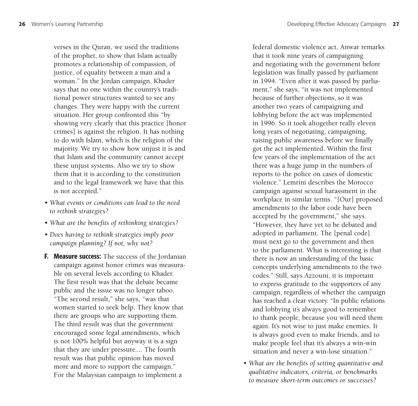verses in the Quran, we used the traditions of the prophet, to show that Islam actually promotes a relationship of compassion, of justice, of equality between a man and a woman." In the Jordan campaign, Khader says that no one within the country's traditional power structures wanted to see any changes. They were happy with the current situation. Her group confronted this "by showing very clearly that this practice [honor crimes] is against the religion. It has nothing to do with Islam, which is the religion of the majority. We try to show how unjust it is and that Islam and the community cannot accept these unjust systems. Also we try to show them that it is according to the constitution and to the legal framework we have that this is not accepted."

- *What events or conditions can lead to the need to rethink strategies?*
- *What are the benefits of rethinking strategies?*
- *Does having to rethink strategies imply poor campaign planning? If not, why not?*
- **F. Measure success:** The success of the Jordanian campaign against honor crimes was measurable on several levels according to Khader. The first result was that the debate became public and the issue was no longer taboo. "The second result," she says, "was that women started to seek help. They know that there are groups who are supporting them. The third result was that the government encouraged some legal amendments, which is not 100% helpful but anyway it is a sign that they are under pressure.... The fourth result was that public opinion has moved more and more to support the campaign." For the Malaysian campaign to implement a

federal domestic violence act, Anwar remarks that it took nine years of campaigning and negotiating with the government before legislation was finally passed by parliament in 1994. "Even after it was passed by parliament," she says, "it was not implemented because of further objections, so it was another two years of campaigning and lobbying before the act was implemented in 1996. So it took altogether really eleven long years of negotiating, campaigning, raising public awareness before we finally got the act implemented. Within the first few years of the implementation of the act there was a huge jump in the numbers of reports to the police on cases of domestic violence." Lemrini describes the Morocco campaign against sexual harassment in the workplace in similar terms. "[Our] proposed amendments to the labor code have been accepted by the government," she says. "However, they have yet to be debated and adopted in parliament. The [penal code] must next go to the government and then to the parliament. What is interesting is that there is now an understanding of the basic concepts underlying amendments to the two codes." Still, says Azzouni, it is important to express gratitude to the supporters of any campaign, regardless of whether the campaign has reached a clear victory. "In public relations and lobbying it's always good to remember to thank people, because you will need them again. It's not wise to just make enemies. It is always good even to make friends, and to make people feel that it's always a win-win situation and never a win-lose situation."

*• What are the benefits of setting quantitative and qualitative indicators, criteria, or benchmarks to measure short-term outcomes or successes?*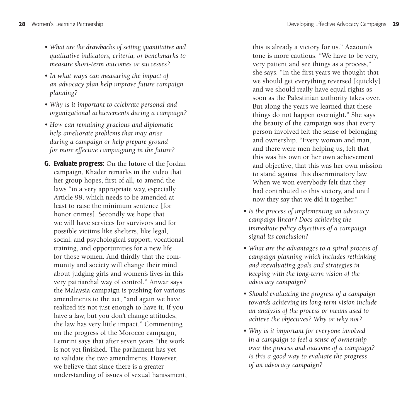- *What are the drawbacks of setting quantitative and qualitative indicators, criteria, or benchmarks to measure short-term outcomes or successes?*
- *In what ways can measuring the impact of an advocacy plan help improve future campaign planning?*
- *Why is it important to celebrate personal and organizational achievements during a campaign?*
- *How can remaining gracious and diplomatic help ameliorate problems that may arise during a campaign or help prepare ground for more effective campaigning in the future?*
- **G. Evaluate progress:** On the future of the Jordan campaign, Khader remarks in the video that her group hopes, first of all, to amend the laws "in a very appropriate way, especially Article 98, which needs to be amended at least to raise the minimum sentence [for honor crimes]. Secondly we hope that we will have services for survivors and for possible victims like shelters, like legal, social, and psychological support, vocational training, and opportunities for a new life for those women. And thirdly that the community and society will change their mind about judging girls and women's lives in this very patriarchal way of control." Anwar says the Malaysia campaign is pushing for various amendments to the act, "and again we have realized it's not just enough to have it. If you have a law, but you don't change attitudes, the law has very little impact." Commenting on the progress of the Morocco campaign, Lemrini says that after seven years "the work is not yet finished. The parliament has yet to validate the two amendments. However, we believe that since there is a greater understanding of issues of sexual harassment,

this is already a victory for us." Azzouni's tone is more cautious. "We have to be very, very patient and see things as a process," she says. "In the first years we thought that we should get everything reversed [quickly] and we should really have equal rights as soon as the Palestinian authority takes over. But along the years we learned that these things do not happen overnight." She says the beauty of the campaign was that every person involved felt the sense of belonging and ownership. "Every woman and man, and there were men helping us, felt that this was his own or her own achievement and objective, that this was her own mission to stand against this discriminatory law. When we won everybody felt that they had contributed to this victory, and until now they say that we did it together."

- *Is the process of implementing an advocacy campaign linear? Does achieving the immediate policy objectives of a campaign signal its conclusion?*
- *What are the advantages to a spiral process of campaign planning which includes rethinking and reevaluating goals and strategies in keeping with the long-term vision of the advocacy campaign?*
- *Should evaluating the progress of a campaign towards achieving its long-term vision include an analysis of the process or means used to achieve the objectives? Why or why not?*
- *Why is it important for everyone involved in a campaign to feel a sense of ownership over the process and outcome of a campaign? Is this a good way to evaluate the progress of an advocacy campaign?*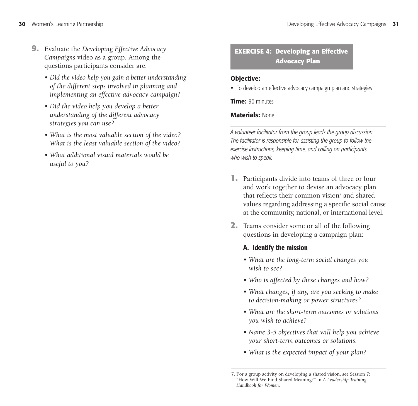- **9.** Evaluate the *Developing Effective Advocacy Campaigns* video as a group. Among the questions participants consider are:
	- *Did the video help you gain a better understanding of the different steps involved in planning and implementing an effective advocacy campaign?*
	- *Did the video help you develop a better understanding of the different advocacy strategies you can use?*
	- *What is the most valuable section of the video? What is the least valuable section of the video?*
	- *What additional visual materials would be useful to you?*

## **EXERCISE 4: Developing an Effective Advocacy Plan**

#### **Objective:**

• To develop an effective advocacy campaign plan and strategies

**Time:** 90 minutes

#### **Materials:** None

*A volunteer facilitator from the group leads the group discussion. The facilitator is responsible for assisting the group to follow the exercise instructions, keeping time, and calling on participants who wish to speak.*

- **1.** Participants divide into teams of three or four and work together to devise an advocacy plan that reflects their common vision<sup> $7$ </sup> and shared values regarding addressing a specific social cause at the community, national, or international level.
- **2.** Teams consider some or all of the following questions in developing a campaign plan:

## **A. Identify the mission**

- *What are the long-term social changes you wish to see?*
- *Who is affected by these changes and how?*
- *What changes, if any, are you seeking to make to decision-making or power structures?*
- *What are the short-term outcomes or solutions you wish to achieve?*
- *Name 3-5 objectives that will help you achieve your short-term outcomes or solutions.*
- *What is the expected impact of your plan?*

<sup>7.</sup> For a group activity on developing a shared vision, see Session 7: "How Will We Find Shared Meaning?" in *A Leadership Training Handbook for Women*.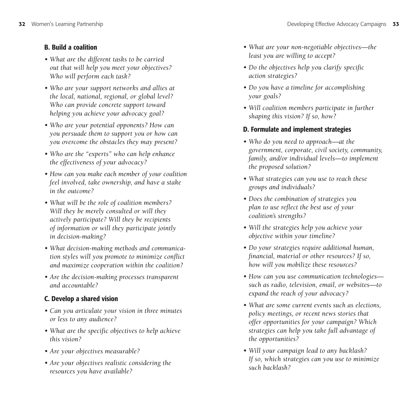### **B. Build a coalition**

- *What are the different tasks to be carried out that will help you meet your objectives? Who will perform each task?*
- *Who are your support networks and allies at the local, national, regional, or global level? Who can provide concrete support toward helping you achieve your advocacy goal?*
- *Who are your potential opponents? How can you persuade them to support you or how can you overcome the obstacles they may present?*
- *Who are the "experts" who can help enhance the effectiveness of your advocacy?*
- *How can you make each member of your coalition feel involved, take ownership, and have a stake in the outcome?*
- *What will be the role of coalition members? Will they be merely consulted or will they actively participate? Will they be recipients of information or will they participate jointly in decision-making?*
- *What decision-making methods and communication styles will you promote to minimize conflict and maximize cooperation within the coalition?*
- *Are the decision-making processes transparent and accountable?*

# **C. Develop a shared vision**

- *Can you articulate your vision in three minutes or less to any audience?*
- *What are the specific objectives to help achieve this vision?*
- *Are your objectives measurable?*
- *Are your objectives realistic considering the resources you have available?*
- *What are your non-negotiable objectives—the least you are willing to accept?*
- *Do the objectives help you clarify specific action strategies?*
- *Do you have a timeline for accomplishing your goals?*
- *Will coalition members participate in further shaping this vision? If so, how?*

## **D. Formulate and implement strategies**

- *Who do you need to approach—at the government, corporate, civil society, community, family, and/or individual levels—to implement the proposed solution?*
- *What strategies can you use to reach these groups and individuals?*
- *Does the combination of strategies you plan to use reflect the best use of your coalition's strengths?*
- *Will the strategies help you achieve your objective within your timeline?*
- *Do your strategies require additional human, financial, material or other resources? If so, how will you mobilize these resources?*
- *How can you use communication technologies such as radio, television, email, or websites—to expand the reach of your advocacy?*
- *What are some current events such as elections, policy meetings, or recent news stories that offer opportunities for your campaign? Which strategies can help you take full advantage of the opportunities?*
- *Will your campaign lead to any backlash? If so, which strategies can you use to minimize such backlash?*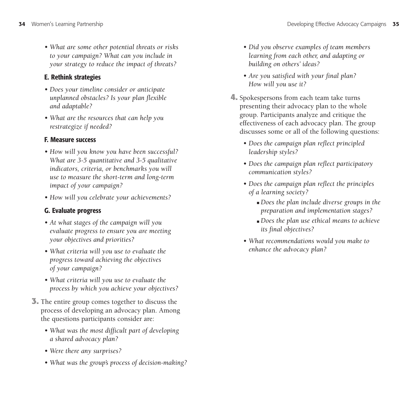*• What are some other potential threats or risks to your campaign? What can you include in your strategy to reduce the impact of threats?*

### **E. Rethink strategies**

- *Does your timeline consider or anticipate unplanned obstacles? Is your plan flexible and adaptable?*
- *What are the resources that can help you restrategize if needed?*

#### **F. Measure success**

- *How will you know you have been successful? What are 3-5 quantitative and 3-5 qualitative indicators, criteria, or benchmarks you will use to measure the short-term and long-term impact of your campaign?*
- *How will you celebrate your achievements?*

#### **G. Evaluate progress**

- *At what stages of the campaign will you evaluate progress to ensure you are meeting your objectives and priorities?*
- *What criteria will you use to evaluate the progress toward achieving the objectives of your campaign?*
- *What criteria will you use to evaluate the process by which you achieve your objectives?*
- **3.** The entire group comes together to discuss the process of developing an advocacy plan. Among the questions participants consider are:
	- *What was the most difficult part of developing a shared advocacy plan?*
	- *Were there any surprises?*
	- *What was the group's process of decision-making?*
- *Did you observe examples of team members learning from each other, and adapting or building on others' ideas?*
- *Are you satisfied with your final plan? How will you use it?*
- **4.** Spokespersons from each team take turns presenting their advocacy plan to the whole group. Participants analyze and critique the effectiveness of each advocacy plan. The group discusses some or all of the following questions:
	- *Does the campaign plan reflect principled leadership styles?*
	- *Does the campaign plan reflect participatory communication styles?*
	- *Does the campaign plan reflect the principles of a learning society?*
		- *Does the plan include diverse groups in the preparation and implementation stages?*
		- *Does the plan use ethical means to achieve its final objectives?*
	- *What recommendations would you make to enhance the advocacy plan?*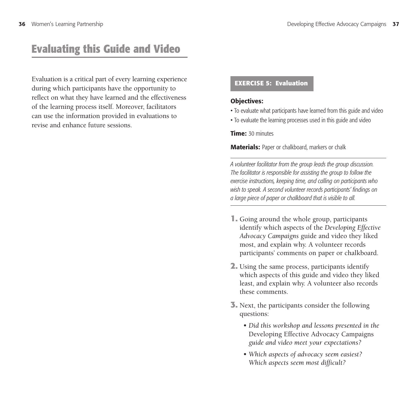# **Evaluating this Guide and Video**

Evaluation is a critical part of every learning experience during which participants have the opportunity to reflect on what they have learned and the effectiveness of the learning process itself. Moreover, facilitators can use the information provided in evaluations to revise and enhance future sessions.

#### **EXERCISE 5: Evaluation**

#### **Objectives:**

- To evaluate what participants have learned from this guide and video
- To evaluate the learning processes used in this guide and video

**Time:** 30 minutes

**Materials:** Paper or chalkboard, markers or chalk

- **1.** Going around the whole group, participants identify which aspects of the *Developing Effective Advocacy Campaigns* guide and video they liked most, and explain why. A volunteer records participants' comments on paper or chalkboard.
- **2.** Using the same process, participants identify which aspects of this guide and video they liked least, and explain why. A volunteer also records these comments.
- **3.** Next, the participants consider the following questions:
	- *Did this workshop and lessons presented in the* Developing Effective Advocacy Campaigns *guide and video meet your expectations?*
	- *Which aspects of advocacy seem easiest? Which aspects seem most difficult?*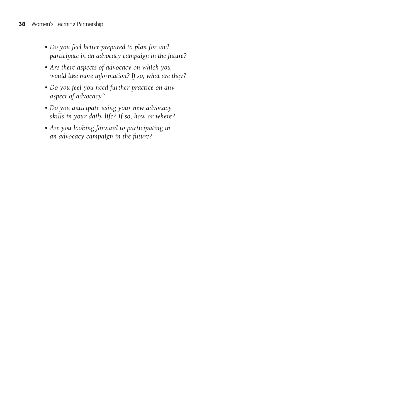- *Do you feel better prepared to plan for and participate in an advocacy campaign in the future?*
- *Are there aspects of advocacy on which you would like more information? If so, what are they?*
- *Do you feel you need further practice on any aspect of advocacy?*
- *Do you anticipate using your new advocacy skills in your daily life? If so, how or where?*
- *Are you looking forward to participating in an advocacy campaign in the future?*